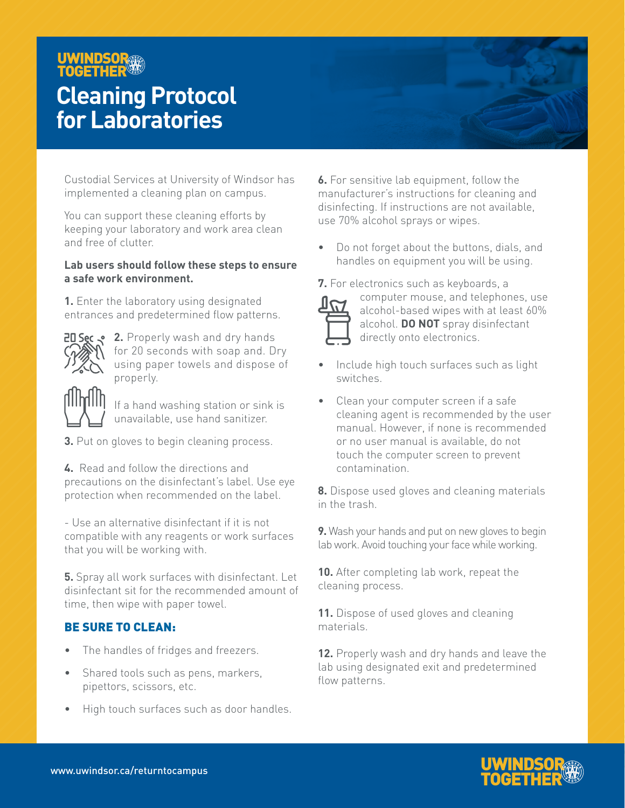#### UWINDSOR **TOGETHER**

## **Cleaning Protocol for Laboratories**

Custodial Services at University of Windsor has implemented a cleaning plan on campus.

You can support these cleaning efforts by keeping your laboratory and work area clean and free of clutter.

#### **Lab users should follow these steps to ensure a safe work environment.**

**1.** Enter the laboratory using designated entrances and predetermined flow patterns.



**20 Sec**  $\bullet$  **2.** Properly wash and dry hands for 20 seconds with soap and. Dry using paper towels and dispose of properly.

> If a hand washing station or sink is unavailable, use hand sanitizer.

- **3.** Put on gloves to begin cleaning process.
- **4.** Read and follow the directions and precautions on the disinfectant's label. Use eye protection when recommended on the label.

- Use an alternative disinfectant if it is not compatible with any reagents or work surfaces that you will be working with.

**5.** Spray all work surfaces with disinfectant. Let disinfectant sit for the recommended amount of time, then wipe with paper towel.

#### BE SURE TO CLEAN:

- The handles of fridges and freezers.
- Shared tools such as pens, markers, pipettors, scissors, etc.
- High touch surfaces such as door handles.

**6.** For sensitive lab equipment, follow the manufacturer's instructions for cleaning and disinfecting. If instructions are not available, use 70% alcohol sprays or wipes.

• Do not forget about the buttons, dials, and handles on equipment you will be using.

**7.** For electronics such as keyboards, a



computer mouse, and telephones, use alcohol-based wipes with at least 60% alcohol. **DO NOT** spray disinfectant directly onto electronics.

- Include high touch surfaces such as light switches.
- Clean your computer screen if a safe cleaning agent is recommended by the user manual. However, if none is recommended or no user manual is available, do not touch the computer screen to prevent contamination.

**8.** Dispose used gloves and cleaning materials in the trash.

**9.** Wash your hands and put on new gloves to begin lab work. Avoid touching your face while working.

**10.** After completing lab work, repeat the cleaning process.

**11.** Dispose of used gloves and cleaning materials.

**12.** Properly wash and dry hands and leave the lab using designated exit and predetermined flow patterns.